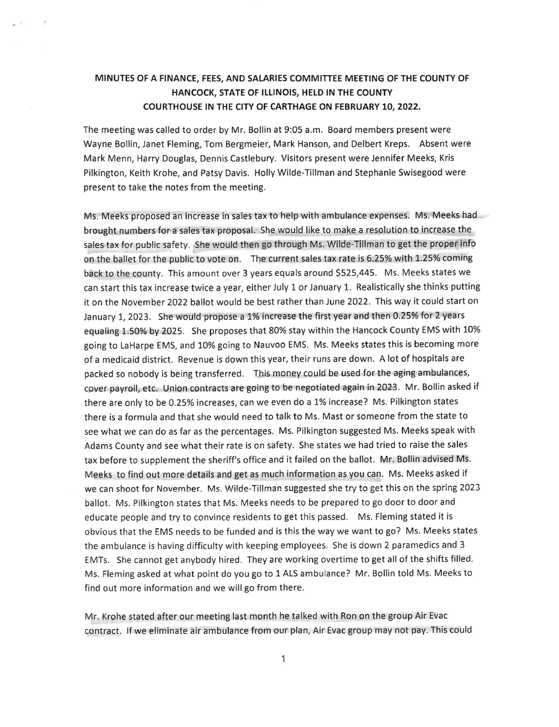## MINUTES OF A FINANCE, FEES, AND SALARIES COMMITTEE MEETING OF THE COUNTY OF HANCOCK, STATE OF ILLINOIS, HELD IN THE COUNTY COURTHOUSE IN THE CITY OF CARTHAGE ON FEBRUARY 10, 2022,

The meeting was called to order by Mr. Bollin at 9:05 a.m. Board members present were Wayne Bollin, Janet Fleming, Tom Bergmeier, Mark Hanson, and Delbert Kreps. Absent were Mark Menn, Harry Douglas, Dennis Castlebury. Vlsitors present were Jennifer Meeks, Kris Pilkington, Keith Krohe, and Patsy Davis. Holly Wilde-Tillman and Stephanie Swisegood were present to take the notes from the meeting.

Ms. Meeks proposed an increase in sales tax to help with ambulance expenses. Ms. Meeks had brought numbers for a sales tax proposal. She would like to make a resolution to increase the sales tax for public safety. She would then go through Ms. Wilde-Tillman to get the proper info on the ballet for the public to vote on. The current sales tax rate is 6.25% with 1.25% coming back to the county. This amount over 3 years equals around 5525,445. Ms. Meeks states we can start this tax increase twice a year, either July 1 or January 1. Realistically she thinks putting it on the November 2022 ballot would be best rather than June 2022. This way it could start on January 1, 2023. She would propose a 1% increase the first year and then 0.25% for 2 years equaling 1.50% by 2025. She proposes that 80% stay within the Hancock County EMS with 10% Boing to LaHarpe EMS, and 10% going to Nauvoo EMS. Ms. Meeks states this is becoming more of a medicaid district. Revenue is down this year, their runs are down. A lot of hospitals are packed so nobody is being transferred. This money could be used for the aging ambulances, cover payroll, etc. Union contracts are going to be negotiated again in 2023. Mr. Bollin asked if there are only to be 0.25% increases, can we even do a 1% increase? Ms. Pilkington states there is a formula and that she would need to talk to Ms. Mast or someone from the state to see what we can do as far as the percentages. Ms. Pilkington suggested Ms. Meeks speak with Adams County and see what their rate is on safety. she states we had tried to raise the sales tax before to supplement the sheriff's office and it failed on the ballot. Mr. Bollin advised Ms. Meeks to find out more details and get as much information as you can. Ms. Meeks asked if we can shoot for November. Ms. Wilde-Tillman suggested she try to get this on the spring 2023 ballot. Ms. Pilkington states that Ms. Meeks needs to be prepared to go door to door and educate people and try to convince residents to get this passed. Ms. Fleming stated it is obvious that the EMS needs to be funded and is this the way we want to go? Ms. Meeks states the ambulance is having difficulty with keeping employees. She is down 2 paramedics and 3 EMTs. She cannot get anybody hired. They are working overtime to get all of the shifts filled. Ms. Fleming asked at what point do you go to 1 ALS ambulance? Mr. Bollin told Ms. Meeks to find out more information and we will go from there.

Mr. Krohe stated after our meeting last month he talked with Ron on the group Air Evac contract. If we eliminate air ambulance from our plan, Air Evac group may not pay. This could